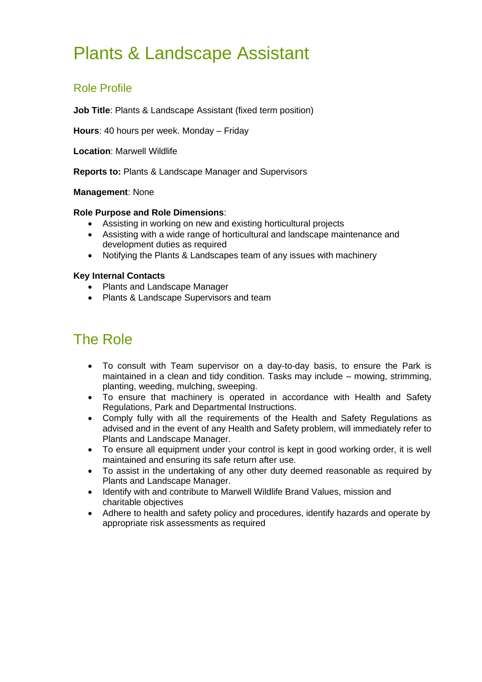# Plants & Landscape Assistant

### Role Profile

**Job Title**: Plants & Landscape Assistant (fixed term position)

**Hours**: 40 hours per week. Monday – Friday

**Location**: Marwell Wildlife

**Reports to:** Plants & Landscape Manager and Supervisors

### **Management**: None

### **Role Purpose and Role Dimensions**:

- Assisting in working on new and existing horticultural projects
- Assisting with a wide range of horticultural and landscape maintenance and development duties as required
- Notifying the Plants & Landscapes team of any issues with machinery

### **Key Internal Contacts**

- Plants and Landscape Manager
- Plants & Landscape Supervisors and team

## The Role

- To consult with Team supervisor on a day-to-day basis, to ensure the Park is maintained in a clean and tidy condition. Tasks may include – mowing, strimming, planting, weeding, mulching, sweeping.
- To ensure that machinery is operated in accordance with Health and Safety Regulations, Park and Departmental Instructions.
- Comply fully with all the requirements of the Health and Safety Regulations as advised and in the event of any Health and Safety problem, will immediately refer to Plants and Landscape Manager.
- To ensure all equipment under your control is kept in good working order, it is well maintained and ensuring its safe return after use.
- To assist in the undertaking of any other duty deemed reasonable as required by Plants and Landscape Manager.
- Identify with and contribute to Marwell Wildlife Brand Values, mission and charitable objectives
- Adhere to health and safety policy and procedures, identify hazards and operate by appropriate risk assessments as required